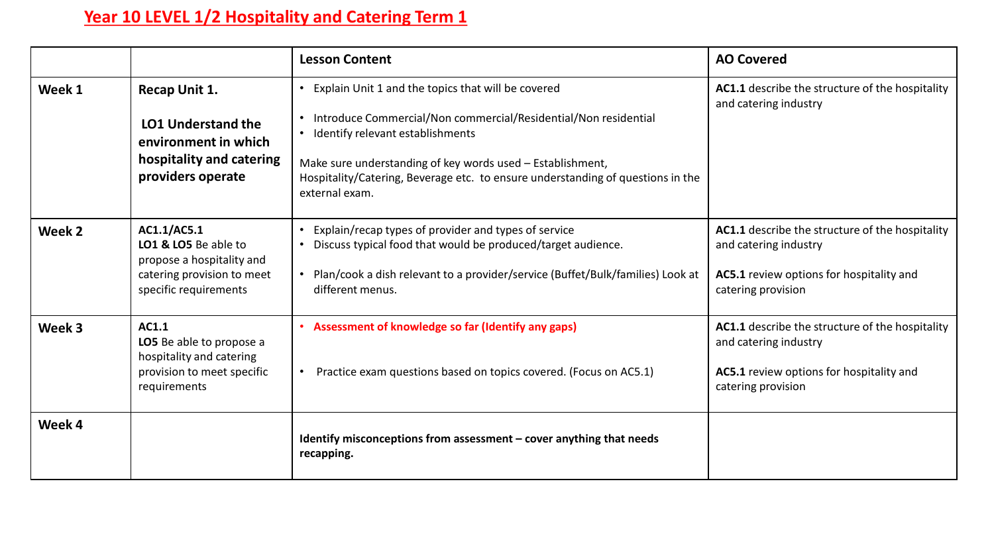## **Year 10 LEVEL 1/2 Hospitality and Catering Term 1**

|        |                                                                                                                         | <b>Lesson Content</b>                                                                                                                                                                                                                                                                                                        | <b>AO Covered</b>                                                                                                                          |
|--------|-------------------------------------------------------------------------------------------------------------------------|------------------------------------------------------------------------------------------------------------------------------------------------------------------------------------------------------------------------------------------------------------------------------------------------------------------------------|--------------------------------------------------------------------------------------------------------------------------------------------|
| Week 1 | Recap Unit 1.<br><b>LO1 Understand the</b><br>environment in which<br>hospitality and catering<br>providers operate     | Explain Unit 1 and the topics that will be covered<br>Introduce Commercial/Non commercial/Residential/Non residential<br>Identify relevant establishments<br>Make sure understanding of key words used - Establishment,<br>Hospitality/Catering, Beverage etc. to ensure understanding of questions in the<br>external exam. | AC1.1 describe the structure of the hospitality<br>and catering industry                                                                   |
| Week 2 | AC1.1/AC5.1<br>LO1 & LO5 Be able to<br>propose a hospitality and<br>catering provision to meet<br>specific requirements | Explain/recap types of provider and types of service<br>Discuss typical food that would be produced/target audience.<br>Plan/cook a dish relevant to a provider/service (Buffet/Bulk/families) Look at<br>different menus.                                                                                                   | AC1.1 describe the structure of the hospitality<br>and catering industry<br>AC5.1 review options for hospitality and<br>catering provision |
| Week 3 | AC1.1<br>LO5 Be able to propose a<br>hospitality and catering<br>provision to meet specific<br>requirements             | Assessment of knowledge so far (Identify any gaps)<br>Practice exam questions based on topics covered. (Focus on AC5.1)                                                                                                                                                                                                      | AC1.1 describe the structure of the hospitality<br>and catering industry<br>AC5.1 review options for hospitality and<br>catering provision |
| Week 4 |                                                                                                                         | Identify misconceptions from assessment - cover anything that needs<br>recapping.                                                                                                                                                                                                                                            |                                                                                                                                            |